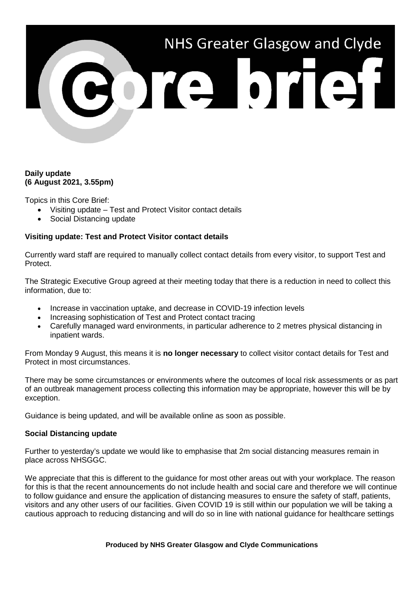# NHS Greater Glasgow and Clyde

## **Daily update (6 August 2021, 3.55pm)**

Topics in this Core Brief:

- Visiting update Test and Protect Visitor contact details
- Social Distancing update

# **Visiting update: Test and Protect Visitor contact details**

Currently ward staff are required to manually collect contact details from every visitor, to support Test and Protect.

The Strategic Executive Group agreed at their meeting today that there is a reduction in need to collect this information, due to:

- Increase in vaccination uptake, and decrease in COVID-19 infection levels
- Increasing sophistication of Test and Protect contact tracing
- Carefully managed ward environments, in particular adherence to 2 metres physical distancing in inpatient wards.

From Monday 9 August, this means it is **no longer necessary** to collect visitor contact details for Test and Protect in most circumstances.

There may be some circumstances or environments where the outcomes of local risk assessments or as part of an outbreak management process collecting this information may be appropriate, however this will be by exception.

Guidance is being updated, and will be available online as soon as possible.

### **Social Distancing update**

Further to yesterday's update we would like to emphasise that 2m social distancing measures remain in place across NHSGGC.

We appreciate that this is different to the guidance for most other areas out with your workplace. The reason for this is that the recent announcements do not include health and social care and therefore we will continue to follow guidance and ensure the application of distancing measures to ensure the safety of staff, patients, visitors and any other users of our facilities. Given COVID 19 is still within our population we will be taking a cautious approach to reducing distancing and will do so in line with national guidance for healthcare settings

#### **Produced by NHS Greater Glasgow and Clyde Communications**